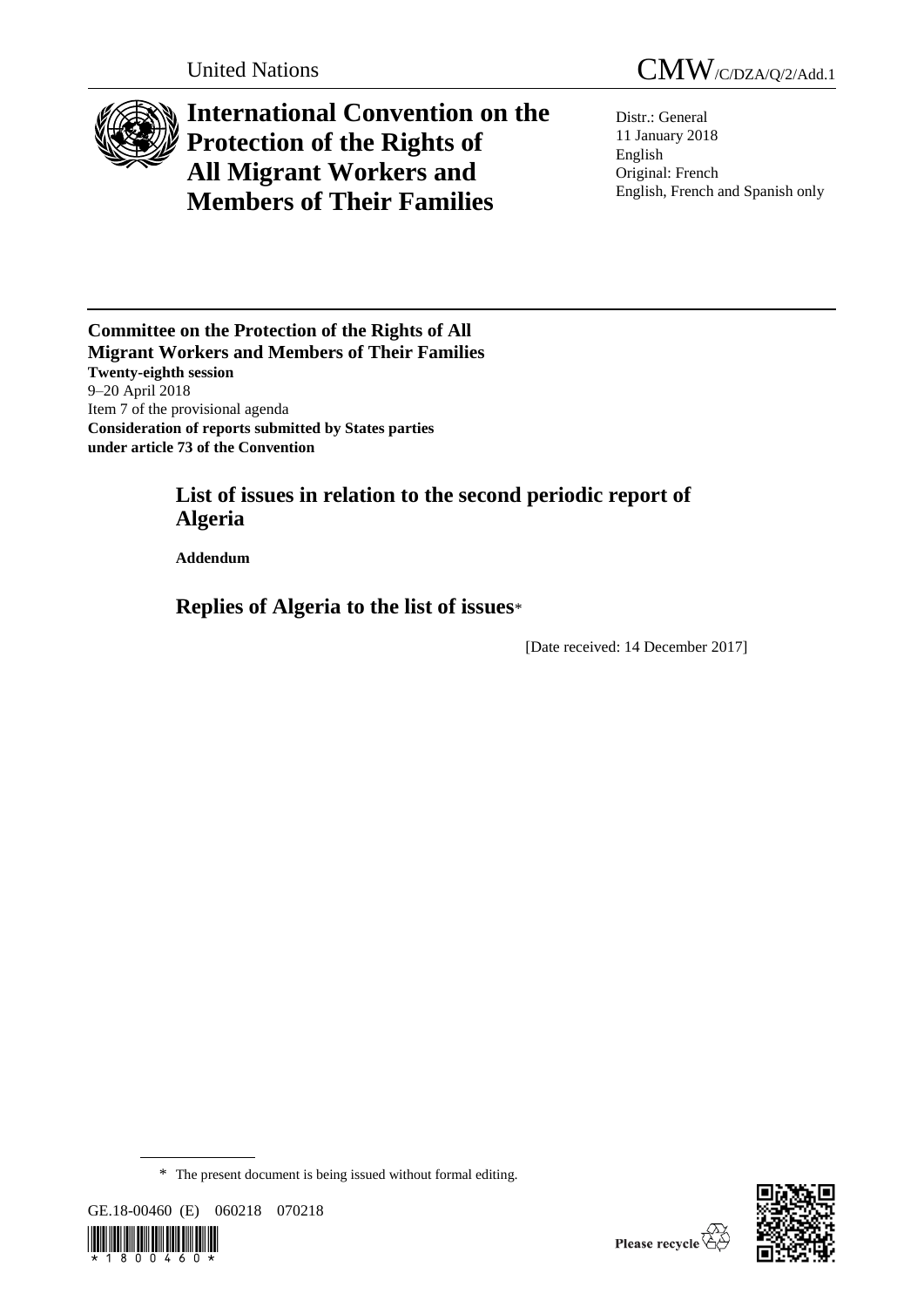

# **International Convention on the Protection of the Rights of All Migrant Workers and Members of Their Families**

Distr.: General 11 January 2018 English Original: French English, French and Spanish only

**Committee on the Protection of the Rights of All Migrant Workers and Members of Their Families Twenty-eighth session** 9–20 April 2018 Item 7 of the provisional agenda **Consideration of reports submitted by States parties under article 73 of the Convention**

## **List of issues in relation to the second periodic report of Algeria**

**Addendum**

**Replies of Algeria to the list of issues**\*

[Date received: 14 December 2017]

<sup>\*</sup> The present document is being issued without formal editing.





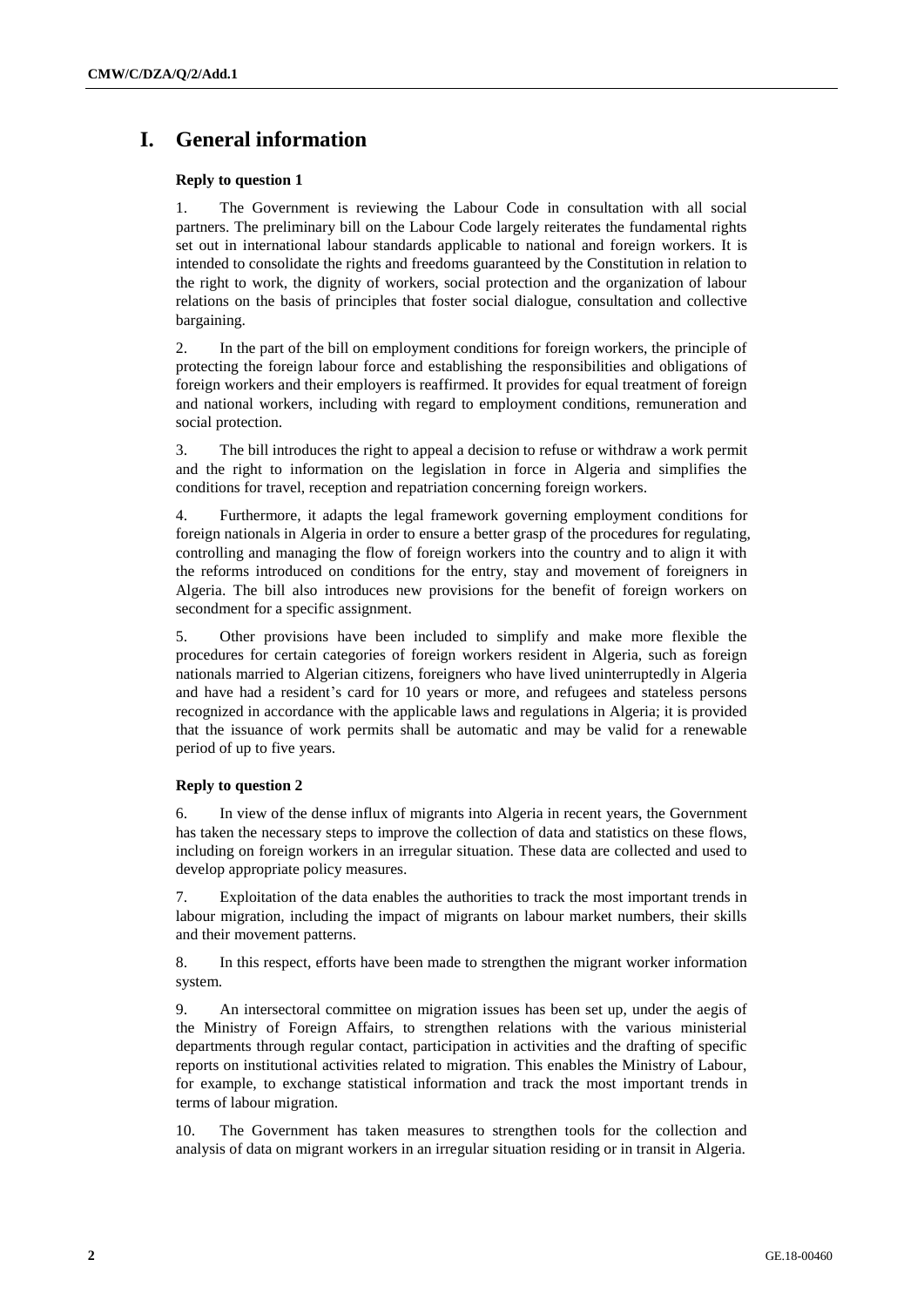## **I. General information**

#### **Reply to question 1**

1. The Government is reviewing the Labour Code in consultation with all social partners. The preliminary bill on the Labour Code largely reiterates the fundamental rights set out in international labour standards applicable to national and foreign workers. It is intended to consolidate the rights and freedoms guaranteed by the Constitution in relation to the right to work, the dignity of workers, social protection and the organization of labour relations on the basis of principles that foster social dialogue, consultation and collective bargaining.

2. In the part of the bill on employment conditions for foreign workers, the principle of protecting the foreign labour force and establishing the responsibilities and obligations of foreign workers and their employers is reaffirmed. It provides for equal treatment of foreign and national workers, including with regard to employment conditions, remuneration and social protection.

3. The bill introduces the right to appeal a decision to refuse or withdraw a work permit and the right to information on the legislation in force in Algeria and simplifies the conditions for travel, reception and repatriation concerning foreign workers.

4. Furthermore, it adapts the legal framework governing employment conditions for foreign nationals in Algeria in order to ensure a better grasp of the procedures for regulating, controlling and managing the flow of foreign workers into the country and to align it with the reforms introduced on conditions for the entry, stay and movement of foreigners in Algeria. The bill also introduces new provisions for the benefit of foreign workers on secondment for a specific assignment.

5. Other provisions have been included to simplify and make more flexible the procedures for certain categories of foreign workers resident in Algeria, such as foreign nationals married to Algerian citizens, foreigners who have lived uninterruptedly in Algeria and have had a resident's card for 10 years or more, and refugees and stateless persons recognized in accordance with the applicable laws and regulations in Algeria; it is provided that the issuance of work permits shall be automatic and may be valid for a renewable period of up to five years.

#### **Reply to question 2**

6. In view of the dense influx of migrants into Algeria in recent years, the Government has taken the necessary steps to improve the collection of data and statistics on these flows, including on foreign workers in an irregular situation. These data are collected and used to develop appropriate policy measures.

7. Exploitation of the data enables the authorities to track the most important trends in labour migration, including the impact of migrants on labour market numbers, their skills and their movement patterns.

8. In this respect, efforts have been made to strengthen the migrant worker information system.

9. An intersectoral committee on migration issues has been set up, under the aegis of the Ministry of Foreign Affairs, to strengthen relations with the various ministerial departments through regular contact, participation in activities and the drafting of specific reports on institutional activities related to migration. This enables the Ministry of Labour, for example, to exchange statistical information and track the most important trends in terms of labour migration.

10. The Government has taken measures to strengthen tools for the collection and analysis of data on migrant workers in an irregular situation residing or in transit in Algeria.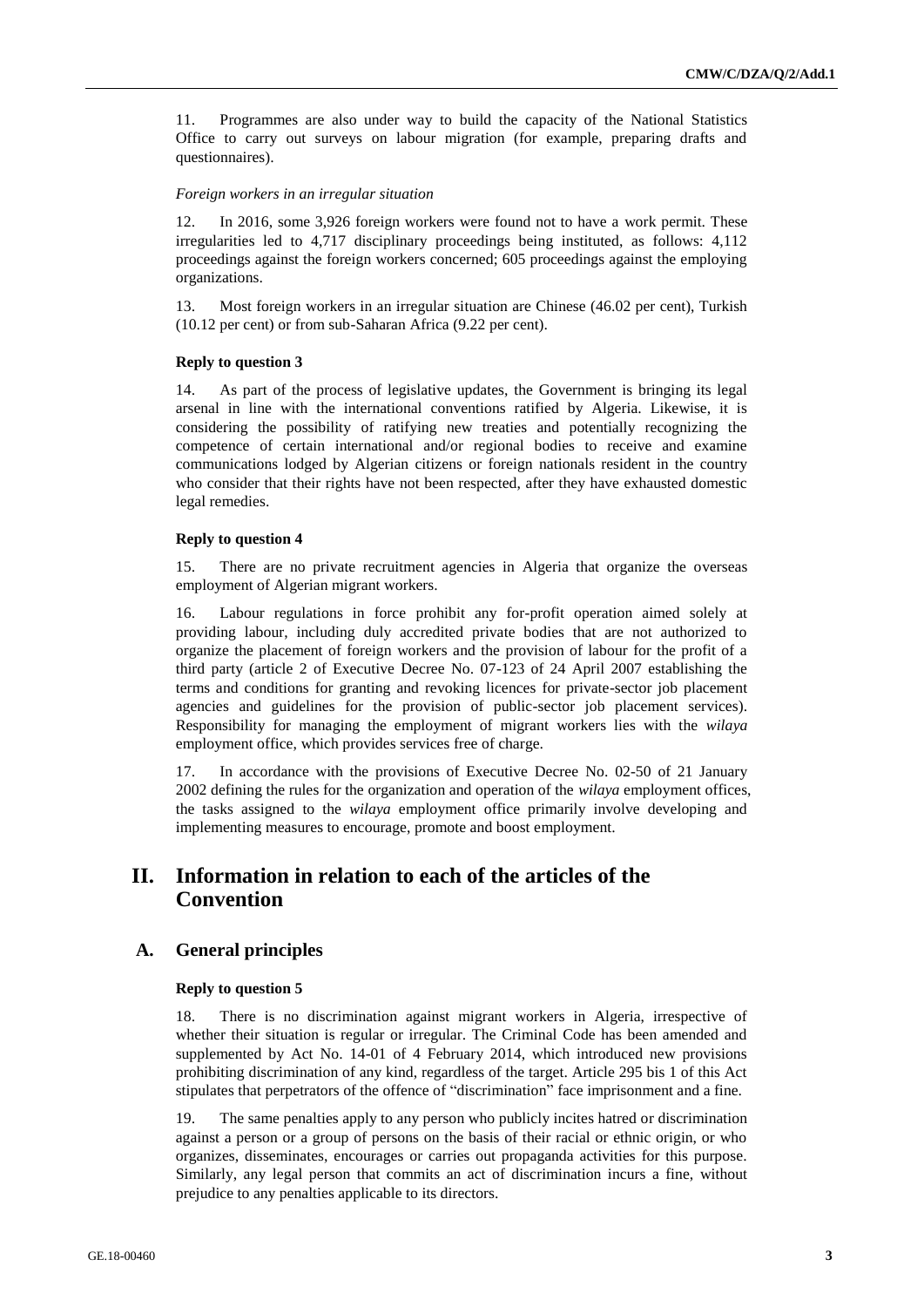11. Programmes are also under way to build the capacity of the National Statistics Office to carry out surveys on labour migration (for example, preparing drafts and questionnaires).

#### *Foreign workers in an irregular situation*

12. In 2016, some 3,926 foreign workers were found not to have a work permit. These irregularities led to 4,717 disciplinary proceedings being instituted, as follows: 4,112 proceedings against the foreign workers concerned; 605 proceedings against the employing organizations.

13. Most foreign workers in an irregular situation are Chinese (46.02 per cent), Turkish (10.12 per cent) or from sub-Saharan Africa (9.22 per cent).

#### **Reply to question 3**

14. As part of the process of legislative updates, the Government is bringing its legal arsenal in line with the international conventions ratified by Algeria. Likewise, it is considering the possibility of ratifying new treaties and potentially recognizing the competence of certain international and/or regional bodies to receive and examine communications lodged by Algerian citizens or foreign nationals resident in the country who consider that their rights have not been respected, after they have exhausted domestic legal remedies.

#### **Reply to question 4**

15. There are no private recruitment agencies in Algeria that organize the overseas employment of Algerian migrant workers.

16. Labour regulations in force prohibit any for-profit operation aimed solely at providing labour, including duly accredited private bodies that are not authorized to organize the placement of foreign workers and the provision of labour for the profit of a third party (article 2 of Executive Decree No. 07-123 of 24 April 2007 establishing the terms and conditions for granting and revoking licences for private-sector job placement agencies and guidelines for the provision of public-sector job placement services). Responsibility for managing the employment of migrant workers lies with the *wilaya* employment office, which provides services free of charge.

17. In accordance with the provisions of Executive Decree No. 02-50 of 21 January 2002 defining the rules for the organization and operation of the *wilaya* employment offices, the tasks assigned to the *wilaya* employment office primarily involve developing and implementing measures to encourage, promote and boost employment.

## **II. Information in relation to each of the articles of the Convention**

### **A. General principles**

#### **Reply to question 5**

18. There is no discrimination against migrant workers in Algeria, irrespective of whether their situation is regular or irregular. The Criminal Code has been amended and supplemented by Act No. 14-01 of 4 February 2014, which introduced new provisions prohibiting discrimination of any kind, regardless of the target. Article 295 bis 1 of this Act stipulates that perpetrators of the offence of "discrimination" face imprisonment and a fine.

19. The same penalties apply to any person who publicly incites hatred or discrimination against a person or a group of persons on the basis of their racial or ethnic origin, or who organizes, disseminates, encourages or carries out propaganda activities for this purpose. Similarly, any legal person that commits an act of discrimination incurs a fine, without prejudice to any penalties applicable to its directors.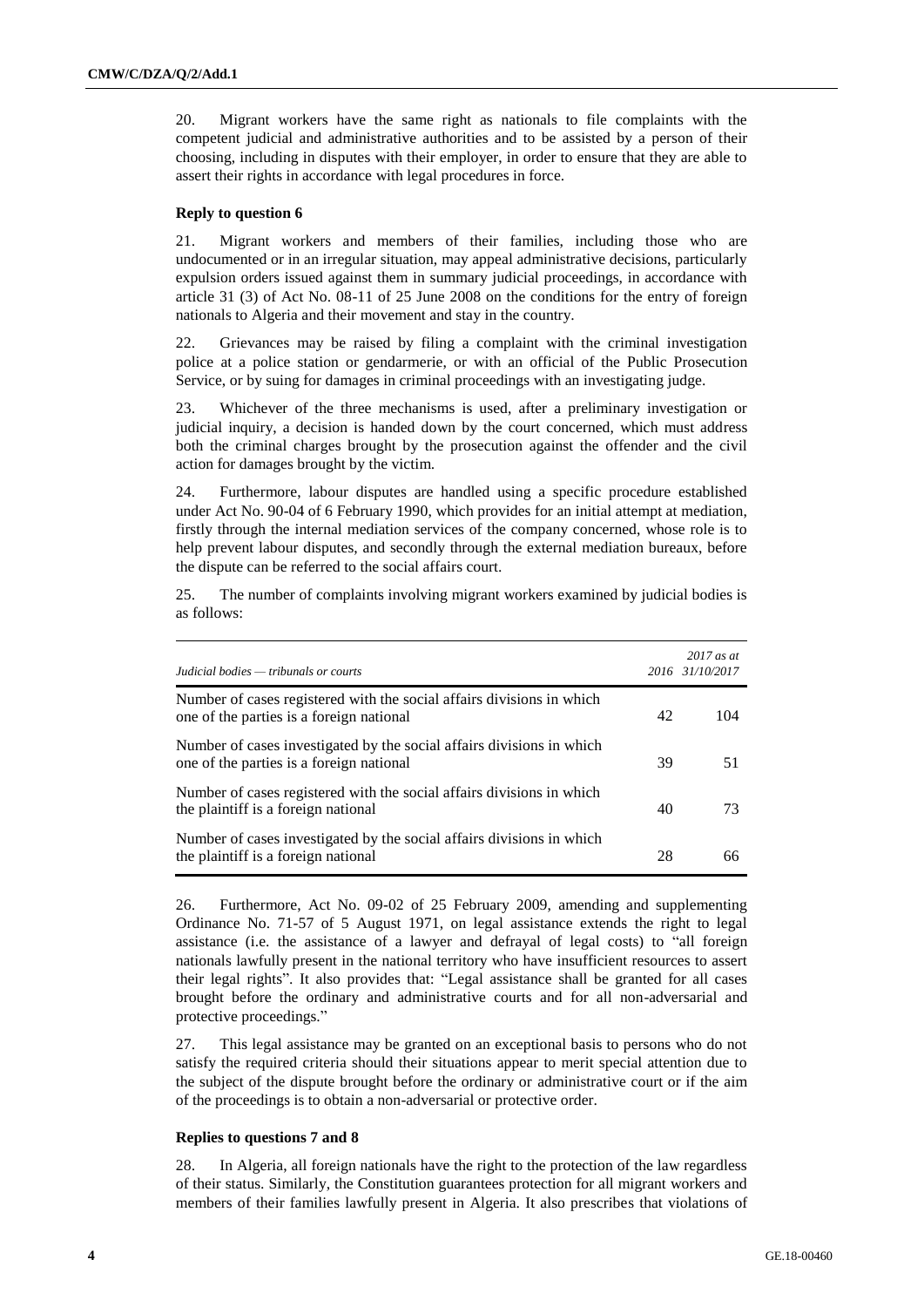20. Migrant workers have the same right as nationals to file complaints with the competent judicial and administrative authorities and to be assisted by a person of their choosing, including in disputes with their employer, in order to ensure that they are able to assert their rights in accordance with legal procedures in force.

#### **Reply to question 6**

21. Migrant workers and members of their families, including those who are undocumented or in an irregular situation, may appeal administrative decisions, particularly expulsion orders issued against them in summary judicial proceedings, in accordance with article 31 (3) of Act No. 08-11 of 25 June 2008 on the conditions for the entry of foreign nationals to Algeria and their movement and stay in the country.

22. Grievances may be raised by filing a complaint with the criminal investigation police at a police station or gendarmerie, or with an official of the Public Prosecution Service, or by suing for damages in criminal proceedings with an investigating judge.

23. Whichever of the three mechanisms is used, after a preliminary investigation or judicial inquiry, a decision is handed down by the court concerned, which must address both the criminal charges brought by the prosecution against the offender and the civil action for damages brought by the victim.

24. Furthermore, labour disputes are handled using a specific procedure established under Act No. 90-04 of 6 February 1990, which provides for an initial attempt at mediation, firstly through the internal mediation services of the company concerned, whose role is to help prevent labour disputes, and secondly through the external mediation bureaux, before the dispute can be referred to the social affairs court.

25. The number of complaints involving migrant workers examined by judicial bodies is as follows:

| Judicial bodies — tribunals or courts                                                                             |    | $2017$ as at<br>2016 31/10/2017 |
|-------------------------------------------------------------------------------------------------------------------|----|---------------------------------|
| Number of cases registered with the social affairs divisions in which<br>one of the parties is a foreign national | 42 | 104                             |
| Number of cases investigated by the social affairs divisions in which<br>one of the parties is a foreign national | 39 | 51                              |
| Number of cases registered with the social affairs divisions in which<br>the plaintiff is a foreign national      | 40 | 73                              |
| Number of cases investigated by the social affairs divisions in which<br>the plaintiff is a foreign national      | 28 | 66                              |

26. Furthermore, Act No. 09-02 of 25 February 2009, amending and supplementing Ordinance No. 71-57 of 5 August 1971, on legal assistance extends the right to legal assistance (i.e. the assistance of a lawyer and defrayal of legal costs) to "all foreign nationals lawfully present in the national territory who have insufficient resources to assert their legal rights". It also provides that: "Legal assistance shall be granted for all cases brought before the ordinary and administrative courts and for all non-adversarial and protective proceedings."

27. This legal assistance may be granted on an exceptional basis to persons who do not satisfy the required criteria should their situations appear to merit special attention due to the subject of the dispute brought before the ordinary or administrative court or if the aim of the proceedings is to obtain a non-adversarial or protective order.

#### **Replies to questions 7 and 8**

28. In Algeria, all foreign nationals have the right to the protection of the law regardless of their status. Similarly, the Constitution guarantees protection for all migrant workers and members of their families lawfully present in Algeria. It also prescribes that violations of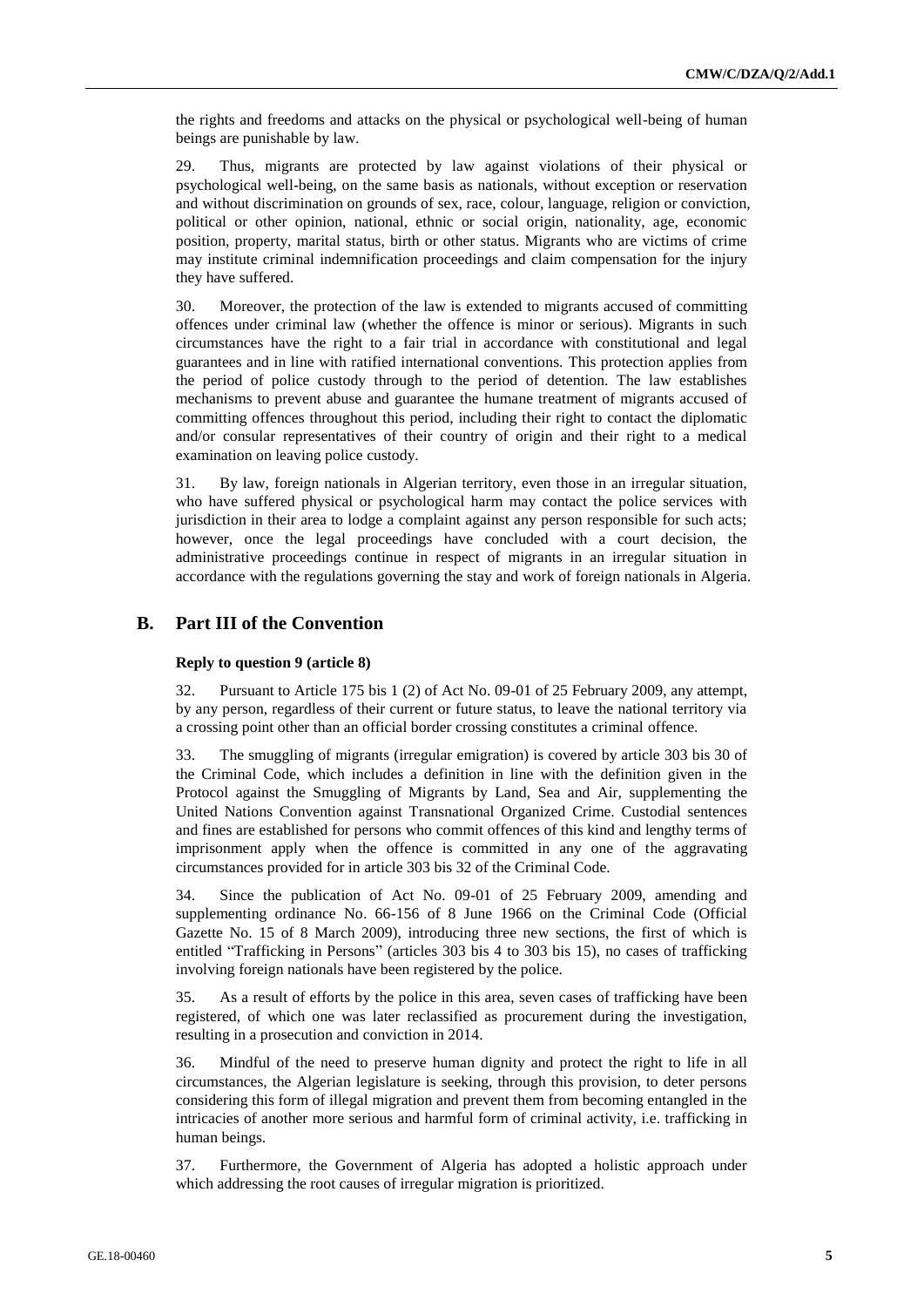the rights and freedoms and attacks on the physical or psychological well-being of human beings are punishable by law.

29. Thus, migrants are protected by law against violations of their physical or psychological well-being, on the same basis as nationals, without exception or reservation and without discrimination on grounds of sex, race, colour, language, religion or conviction, political or other opinion, national, ethnic or social origin, nationality, age, economic position, property, marital status, birth or other status. Migrants who are victims of crime may institute criminal indemnification proceedings and claim compensation for the injury they have suffered.

30. Moreover, the protection of the law is extended to migrants accused of committing offences under criminal law (whether the offence is minor or serious). Migrants in such circumstances have the right to a fair trial in accordance with constitutional and legal guarantees and in line with ratified international conventions. This protection applies from the period of police custody through to the period of detention. The law establishes mechanisms to prevent abuse and guarantee the humane treatment of migrants accused of committing offences throughout this period, including their right to contact the diplomatic and/or consular representatives of their country of origin and their right to a medical examination on leaving police custody.

31. By law, foreign nationals in Algerian territory, even those in an irregular situation, who have suffered physical or psychological harm may contact the police services with jurisdiction in their area to lodge a complaint against any person responsible for such acts; however, once the legal proceedings have concluded with a court decision, the administrative proceedings continue in respect of migrants in an irregular situation in accordance with the regulations governing the stay and work of foreign nationals in Algeria.

## **B. Part III of the Convention**

#### **Reply to question 9 (article 8)**

32. Pursuant to Article 175 bis 1 (2) of Act No. 09-01 of 25 February 2009, any attempt, by any person, regardless of their current or future status, to leave the national territory via a crossing point other than an official border crossing constitutes a criminal offence.

33. The smuggling of migrants (irregular emigration) is covered by article 303 bis 30 of the Criminal Code, which includes a definition in line with the definition given in the Protocol against the Smuggling of Migrants by Land, Sea and Air, supplementing the United Nations Convention against Transnational Organized Crime. Custodial sentences and fines are established for persons who commit offences of this kind and lengthy terms of imprisonment apply when the offence is committed in any one of the aggravating circumstances provided for in article 303 bis 32 of the Criminal Code.

34. Since the publication of Act No. 09-01 of 25 February 2009, amending and supplementing ordinance No. 66-156 of 8 June 1966 on the Criminal Code (Official Gazette No. 15 of 8 March 2009), introducing three new sections, the first of which is entitled "Trafficking in Persons" (articles 303 bis 4 to 303 bis 15), no cases of trafficking involving foreign nationals have been registered by the police.

35. As a result of efforts by the police in this area, seven cases of trafficking have been registered, of which one was later reclassified as procurement during the investigation, resulting in a prosecution and conviction in 2014.

36. Mindful of the need to preserve human dignity and protect the right to life in all circumstances, the Algerian legislature is seeking, through this provision, to deter persons considering this form of illegal migration and prevent them from becoming entangled in the intricacies of another more serious and harmful form of criminal activity, i.e. trafficking in human beings.

37. Furthermore, the Government of Algeria has adopted a holistic approach under which addressing the root causes of irregular migration is prioritized.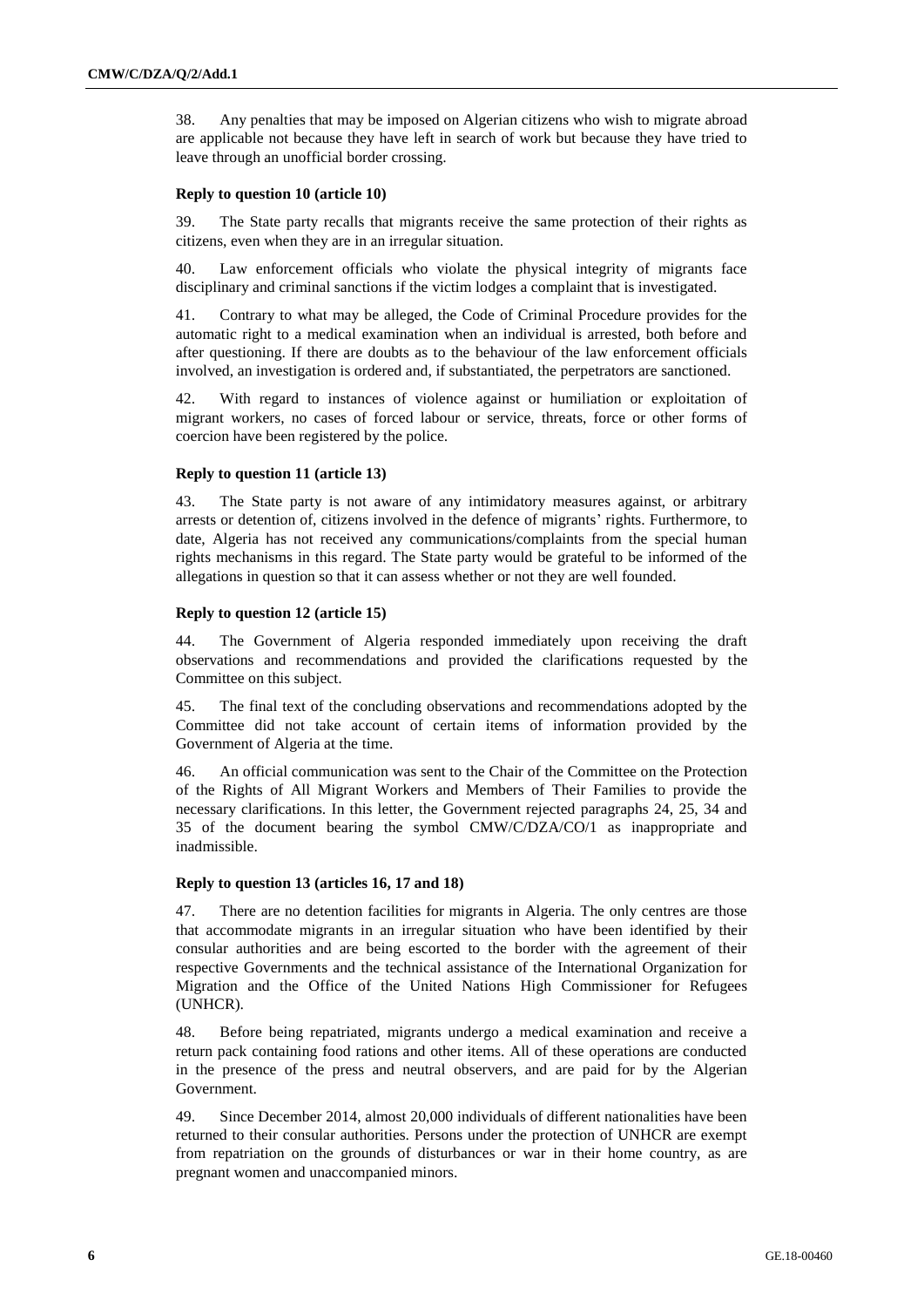38. Any penalties that may be imposed on Algerian citizens who wish to migrate abroad are applicable not because they have left in search of work but because they have tried to leave through an unofficial border crossing.

#### **Reply to question 10 (article 10)**

39. The State party recalls that migrants receive the same protection of their rights as citizens, even when they are in an irregular situation.

40. Law enforcement officials who violate the physical integrity of migrants face disciplinary and criminal sanctions if the victim lodges a complaint that is investigated.

41. Contrary to what may be alleged, the Code of Criminal Procedure provides for the automatic right to a medical examination when an individual is arrested, both before and after questioning. If there are doubts as to the behaviour of the law enforcement officials involved, an investigation is ordered and, if substantiated, the perpetrators are sanctioned.

42. With regard to instances of violence against or humiliation or exploitation of migrant workers, no cases of forced labour or service, threats, force or other forms of coercion have been registered by the police.

#### **Reply to question 11 (article 13)**

43. The State party is not aware of any intimidatory measures against, or arbitrary arrests or detention of, citizens involved in the defence of migrants' rights. Furthermore, to date, Algeria has not received any communications/complaints from the special human rights mechanisms in this regard. The State party would be grateful to be informed of the allegations in question so that it can assess whether or not they are well founded.

#### **Reply to question 12 (article 15)**

44. The Government of Algeria responded immediately upon receiving the draft observations and recommendations and provided the clarifications requested by the Committee on this subject.

45. The final text of the concluding observations and recommendations adopted by the Committee did not take account of certain items of information provided by the Government of Algeria at the time.

46. An official communication was sent to the Chair of the Committee on the Protection of the Rights of All Migrant Workers and Members of Their Families to provide the necessary clarifications. In this letter, the Government rejected paragraphs 24, 25, 34 and 35 of the document bearing the symbol CMW/C/DZA/CO/1 as inappropriate and inadmissible.

#### **Reply to question 13 (articles 16, 17 and 18)**

47. There are no detention facilities for migrants in Algeria. The only centres are those that accommodate migrants in an irregular situation who have been identified by their consular authorities and are being escorted to the border with the agreement of their respective Governments and the technical assistance of the International Organization for Migration and the Office of the United Nations High Commissioner for Refugees (UNHCR).

48. Before being repatriated, migrants undergo a medical examination and receive a return pack containing food rations and other items. All of these operations are conducted in the presence of the press and neutral observers, and are paid for by the Algerian Government.

49. Since December 2014, almost 20,000 individuals of different nationalities have been returned to their consular authorities. Persons under the protection of UNHCR are exempt from repatriation on the grounds of disturbances or war in their home country, as are pregnant women and unaccompanied minors.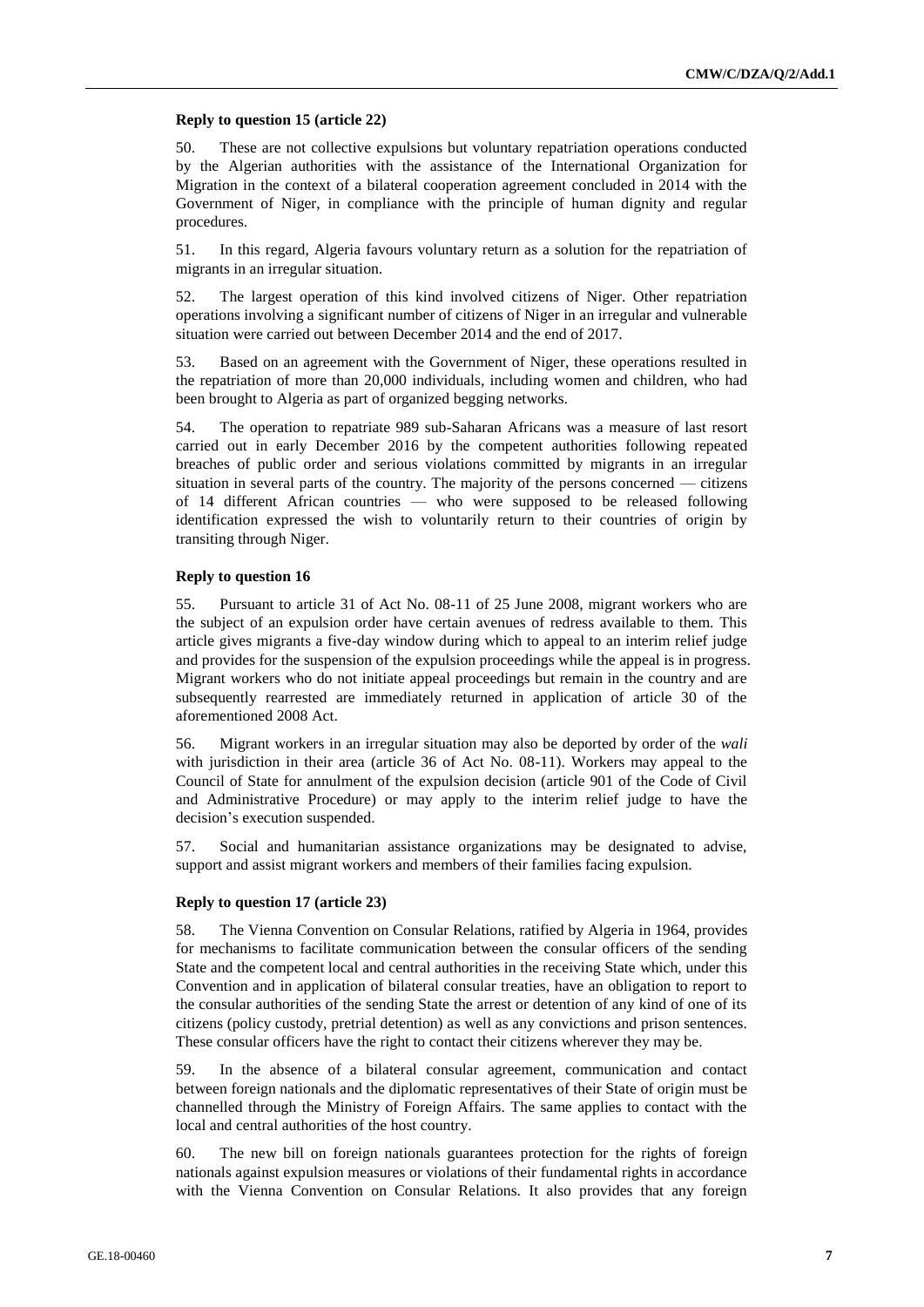#### **Reply to question 15 (article 22)**

50. These are not collective expulsions but voluntary repatriation operations conducted by the Algerian authorities with the assistance of the International Organization for Migration in the context of a bilateral cooperation agreement concluded in 2014 with the Government of Niger, in compliance with the principle of human dignity and regular procedures.

51. In this regard, Algeria favours voluntary return as a solution for the repatriation of migrants in an irregular situation.

52. The largest operation of this kind involved citizens of Niger. Other repatriation operations involving a significant number of citizens of Niger in an irregular and vulnerable situation were carried out between December 2014 and the end of 2017.

53. Based on an agreement with the Government of Niger, these operations resulted in the repatriation of more than 20,000 individuals, including women and children, who had been brought to Algeria as part of organized begging networks.

54. The operation to repatriate 989 sub-Saharan Africans was a measure of last resort carried out in early December 2016 by the competent authorities following repeated breaches of public order and serious violations committed by migrants in an irregular situation in several parts of the country. The majority of the persons concerned — citizens of 14 different African countries — who were supposed to be released following identification expressed the wish to voluntarily return to their countries of origin by transiting through Niger.

#### **Reply to question 16**

55. Pursuant to article 31 of Act No. 08-11 of 25 June 2008, migrant workers who are the subject of an expulsion order have certain avenues of redress available to them. This article gives migrants a five-day window during which to appeal to an interim relief judge and provides for the suspension of the expulsion proceedings while the appeal is in progress. Migrant workers who do not initiate appeal proceedings but remain in the country and are subsequently rearrested are immediately returned in application of article 30 of the aforementioned 2008 Act.

56. Migrant workers in an irregular situation may also be deported by order of the *wali*  with jurisdiction in their area (article 36 of Act No. 08-11). Workers may appeal to the Council of State for annulment of the expulsion decision (article 901 of the Code of Civil and Administrative Procedure) or may apply to the interim relief judge to have the decision's execution suspended.

57. Social and humanitarian assistance organizations may be designated to advise, support and assist migrant workers and members of their families facing expulsion.

#### **Reply to question 17 (article 23)**

58. The Vienna Convention on Consular Relations, ratified by Algeria in 1964, provides for mechanisms to facilitate communication between the consular officers of the sending State and the competent local and central authorities in the receiving State which, under this Convention and in application of bilateral consular treaties, have an obligation to report to the consular authorities of the sending State the arrest or detention of any kind of one of its citizens (policy custody, pretrial detention) as well as any convictions and prison sentences. These consular officers have the right to contact their citizens wherever they may be.

59. In the absence of a bilateral consular agreement, communication and contact between foreign nationals and the diplomatic representatives of their State of origin must be channelled through the Ministry of Foreign Affairs. The same applies to contact with the local and central authorities of the host country.

60. The new bill on foreign nationals guarantees protection for the rights of foreign nationals against expulsion measures or violations of their fundamental rights in accordance with the Vienna Convention on Consular Relations. It also provides that any foreign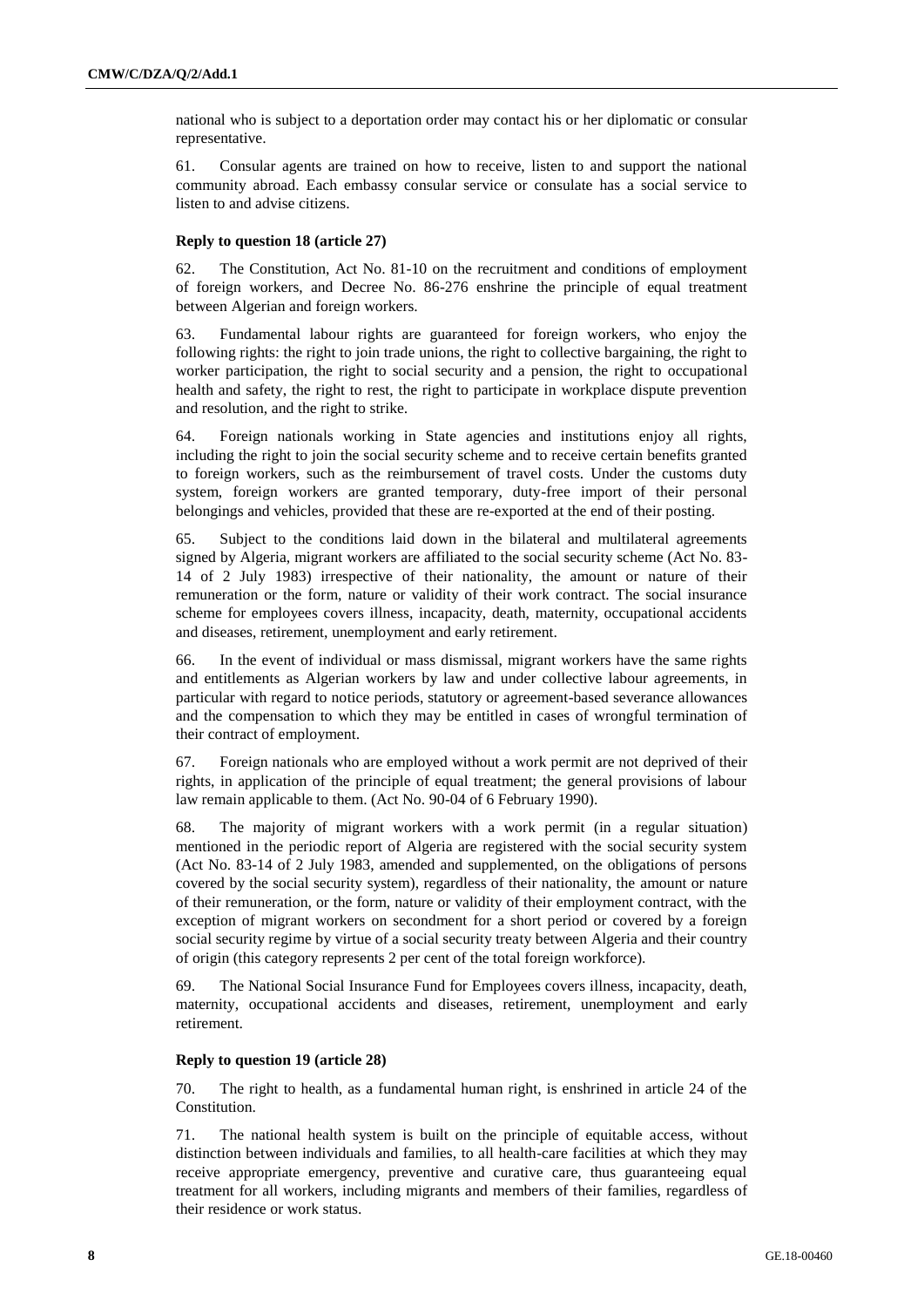national who is subject to a deportation order may contact his or her diplomatic or consular representative.

61. Consular agents are trained on how to receive, listen to and support the national community abroad. Each embassy consular service or consulate has a social service to listen to and advise citizens.

#### **Reply to question 18 (article 27)**

62. The Constitution, Act No. 81-10 on the recruitment and conditions of employment of foreign workers, and Decree No. 86-276 enshrine the principle of equal treatment between Algerian and foreign workers.

63. Fundamental labour rights are guaranteed for foreign workers, who enjoy the following rights: the right to join trade unions, the right to collective bargaining, the right to worker participation, the right to social security and a pension, the right to occupational health and safety, the right to rest, the right to participate in workplace dispute prevention and resolution, and the right to strike.

64. Foreign nationals working in State agencies and institutions enjoy all rights, including the right to join the social security scheme and to receive certain benefits granted to foreign workers, such as the reimbursement of travel costs. Under the customs duty system, foreign workers are granted temporary, duty-free import of their personal belongings and vehicles, provided that these are re-exported at the end of their posting.

65. Subject to the conditions laid down in the bilateral and multilateral agreements signed by Algeria, migrant workers are affiliated to the social security scheme (Act No. 83- 14 of 2 July 1983) irrespective of their nationality, the amount or nature of their remuneration or the form, nature or validity of their work contract. The social insurance scheme for employees covers illness, incapacity, death, maternity, occupational accidents and diseases, retirement, unemployment and early retirement.

66. In the event of individual or mass dismissal, migrant workers have the same rights and entitlements as Algerian workers by law and under collective labour agreements, in particular with regard to notice periods, statutory or agreement-based severance allowances and the compensation to which they may be entitled in cases of wrongful termination of their contract of employment.

67. Foreign nationals who are employed without a work permit are not deprived of their rights, in application of the principle of equal treatment; the general provisions of labour law remain applicable to them. (Act No. 90-04 of 6 February 1990).

68. The majority of migrant workers with a work permit (in a regular situation) mentioned in the periodic report of Algeria are registered with the social security system (Act No. 83-14 of 2 July 1983, amended and supplemented, on the obligations of persons covered by the social security system), regardless of their nationality, the amount or nature of their remuneration, or the form, nature or validity of their employment contract, with the exception of migrant workers on secondment for a short period or covered by a foreign social security regime by virtue of a social security treaty between Algeria and their country of origin (this category represents 2 per cent of the total foreign workforce).

69. The National Social Insurance Fund for Employees covers illness, incapacity, death, maternity, occupational accidents and diseases, retirement, unemployment and early retirement.

#### **Reply to question 19 (article 28)**

70. The right to health, as a fundamental human right, is enshrined in article 24 of the Constitution.

71. The national health system is built on the principle of equitable access, without distinction between individuals and families, to all health-care facilities at which they may receive appropriate emergency, preventive and curative care, thus guaranteeing equal treatment for all workers, including migrants and members of their families, regardless of their residence or work status.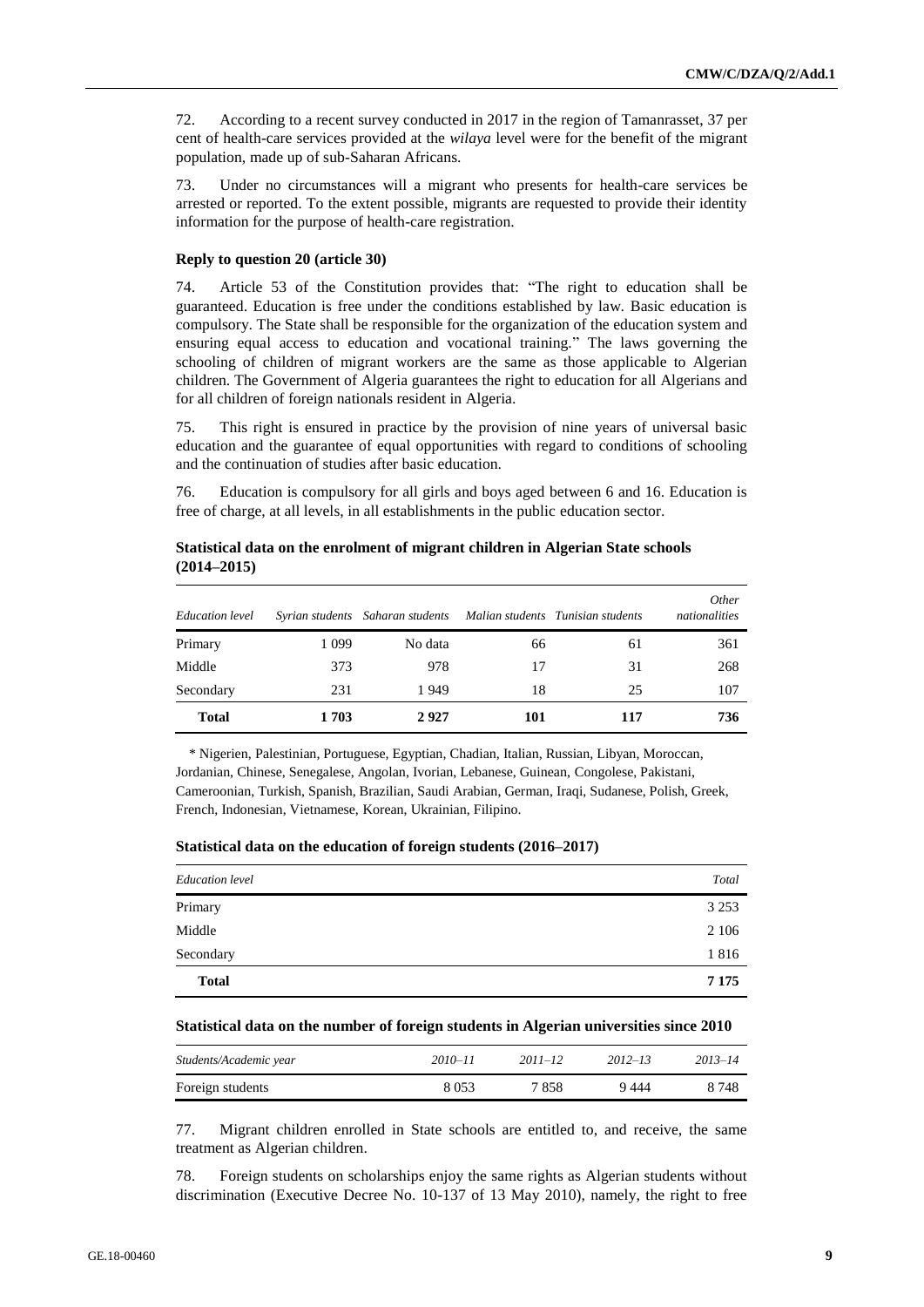72. According to a recent survey conducted in 2017 in the region of Tamanrasset, 37 per cent of health-care services provided at the *wilaya* level were for the benefit of the migrant population, made up of sub-Saharan Africans.

73. Under no circumstances will a migrant who presents for health-care services be arrested or reported. To the extent possible, migrants are requested to provide their identity information for the purpose of health-care registration.

#### **Reply to question 20 (article 30)**

74. Article 53 of the Constitution provides that: "The right to education shall be guaranteed. Education is free under the conditions established by law. Basic education is compulsory. The State shall be responsible for the organization of the education system and ensuring equal access to education and vocational training." The laws governing the schooling of children of migrant workers are the same as those applicable to Algerian children. The Government of Algeria guarantees the right to education for all Algerians and for all children of foreign nationals resident in Algeria.

75. This right is ensured in practice by the provision of nine years of universal basic education and the guarantee of equal opportunities with regard to conditions of schooling and the continuation of studies after basic education.

76. Education is compulsory for all girls and boys aged between 6 and 16. Education is free of charge, at all levels, in all establishments in the public education sector.

| Education level |         | Syrian students Saharan students |     | Malian students Tunisian students | <i>Other</i><br>nationalities |
|-----------------|---------|----------------------------------|-----|-----------------------------------|-------------------------------|
| Primary         | 1 0 9 9 | No data                          | 66  | 61                                | 361                           |
| Middle          | 373     | 978                              | 17  | 31                                | 268                           |
| Secondary       | 231     | 1949                             | 18  | 25                                | 107                           |
| <b>Total</b>    | 1703    | 2927                             | 101 | 117                               | 736                           |

**Statistical data on the enrolment of migrant children in Algerian State schools (2014–2015)**

\* Nigerien, Palestinian, Portuguese, Egyptian, Chadian, Italian, Russian, Libyan, Moroccan, Jordanian, Chinese, Senegalese, Angolan, Ivorian, Lebanese, Guinean, Congolese, Pakistani, Cameroonian, Turkish, Spanish, Brazilian, Saudi Arabian, German, Iraqi, Sudanese, Polish, Greek, French, Indonesian, Vietnamese, Korean, Ukrainian, Filipino.

|  |  |  |  |  | Statistical data on the education of foreign students (2016–2017) |
|--|--|--|--|--|-------------------------------------------------------------------|
|--|--|--|--|--|-------------------------------------------------------------------|

| <b>Education</b> level | Total   |
|------------------------|---------|
| Primary                | 3 2 5 3 |
| Middle                 | 2 1 0 6 |
| Secondary              | 1816    |
| <b>Total</b>           | 7 1 7 5 |

#### **Statistical data on the number of foreign students in Algerian universities since 2010**

| Students/Academic year | $2010 - 11$ | $2011 - 12$ | $2012 - 13$ | $2013 - 14$ |
|------------------------|-------------|-------------|-------------|-------------|
| Foreign students       | 8 0 5 3     | 7858        | 9444        | 8 7 4 8     |

77. Migrant children enrolled in State schools are entitled to, and receive, the same treatment as Algerian children.

78. Foreign students on scholarships enjoy the same rights as Algerian students without discrimination (Executive Decree No. 10-137 of 13 May 2010), namely, the right to free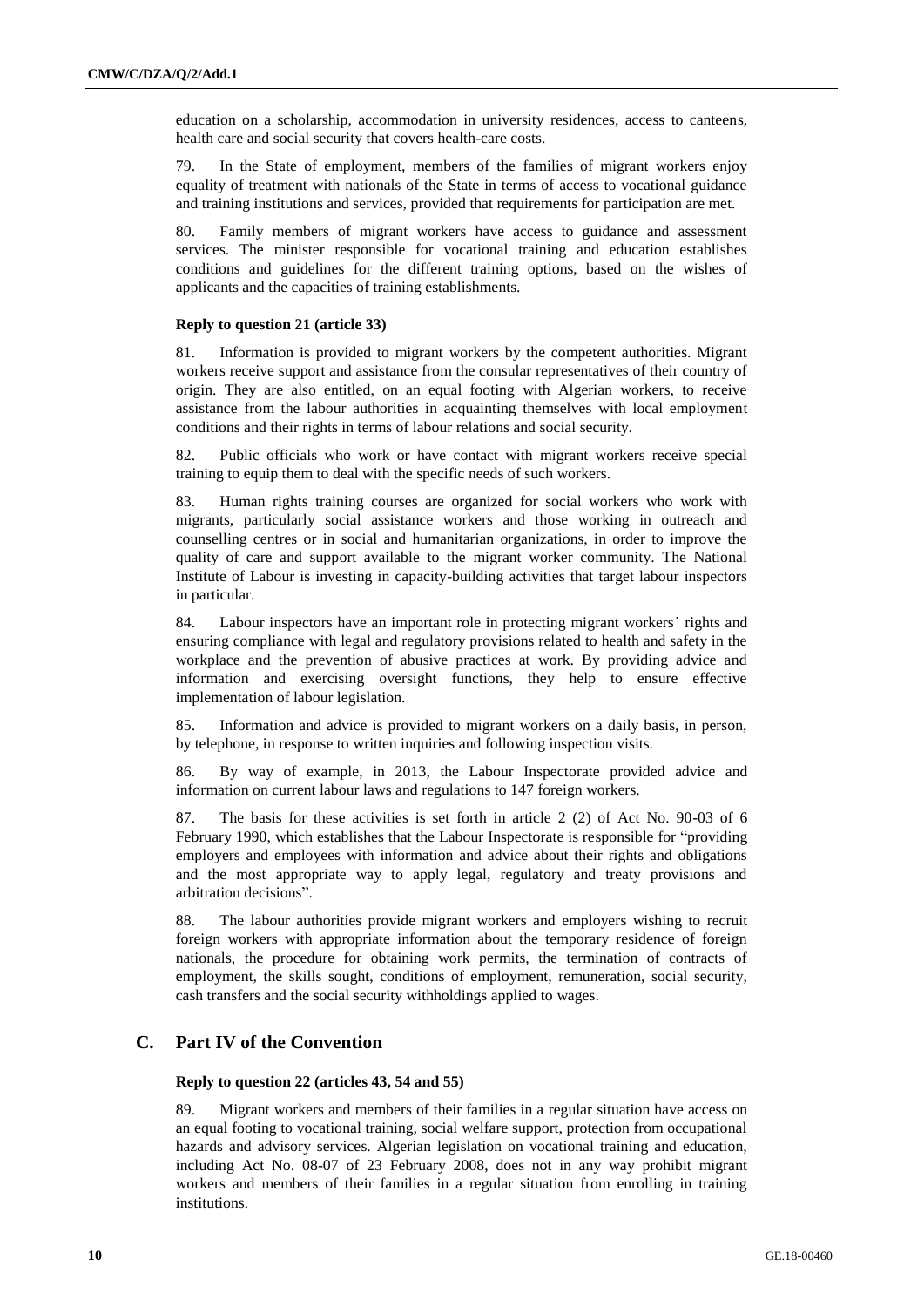education on a scholarship, accommodation in university residences, access to canteens, health care and social security that covers health-care costs.

79. In the State of employment, members of the families of migrant workers enjoy equality of treatment with nationals of the State in terms of access to vocational guidance and training institutions and services, provided that requirements for participation are met.

80. Family members of migrant workers have access to guidance and assessment services. The minister responsible for vocational training and education establishes conditions and guidelines for the different training options, based on the wishes of applicants and the capacities of training establishments.

#### **Reply to question 21 (article 33)**

81. Information is provided to migrant workers by the competent authorities. Migrant workers receive support and assistance from the consular representatives of their country of origin. They are also entitled, on an equal footing with Algerian workers, to receive assistance from the labour authorities in acquainting themselves with local employment conditions and their rights in terms of labour relations and social security.

82. Public officials who work or have contact with migrant workers receive special training to equip them to deal with the specific needs of such workers.

83. Human rights training courses are organized for social workers who work with migrants, particularly social assistance workers and those working in outreach and counselling centres or in social and humanitarian organizations, in order to improve the quality of care and support available to the migrant worker community. The National Institute of Labour is investing in capacity-building activities that target labour inspectors in particular.

84. Labour inspectors have an important role in protecting migrant workers' rights and ensuring compliance with legal and regulatory provisions related to health and safety in the workplace and the prevention of abusive practices at work. By providing advice and information and exercising oversight functions, they help to ensure effective implementation of labour legislation.

85. Information and advice is provided to migrant workers on a daily basis, in person, by telephone, in response to written inquiries and following inspection visits.

86. By way of example, in 2013, the Labour Inspectorate provided advice and information on current labour laws and regulations to 147 foreign workers.

87. The basis for these activities is set forth in article 2 (2) of Act No. 90-03 of 6 February 1990, which establishes that the Labour Inspectorate is responsible for "providing employers and employees with information and advice about their rights and obligations and the most appropriate way to apply legal, regulatory and treaty provisions and arbitration decisions".

88. The labour authorities provide migrant workers and employers wishing to recruit foreign workers with appropriate information about the temporary residence of foreign nationals, the procedure for obtaining work permits, the termination of contracts of employment, the skills sought, conditions of employment, remuneration, social security, cash transfers and the social security withholdings applied to wages.

### **C. Part IV of the Convention**

#### **Reply to question 22 (articles 43, 54 and 55)**

89. Migrant workers and members of their families in a regular situation have access on an equal footing to vocational training, social welfare support, protection from occupational hazards and advisory services. Algerian legislation on vocational training and education, including Act No. 08-07 of 23 February 2008, does not in any way prohibit migrant workers and members of their families in a regular situation from enrolling in training institutions.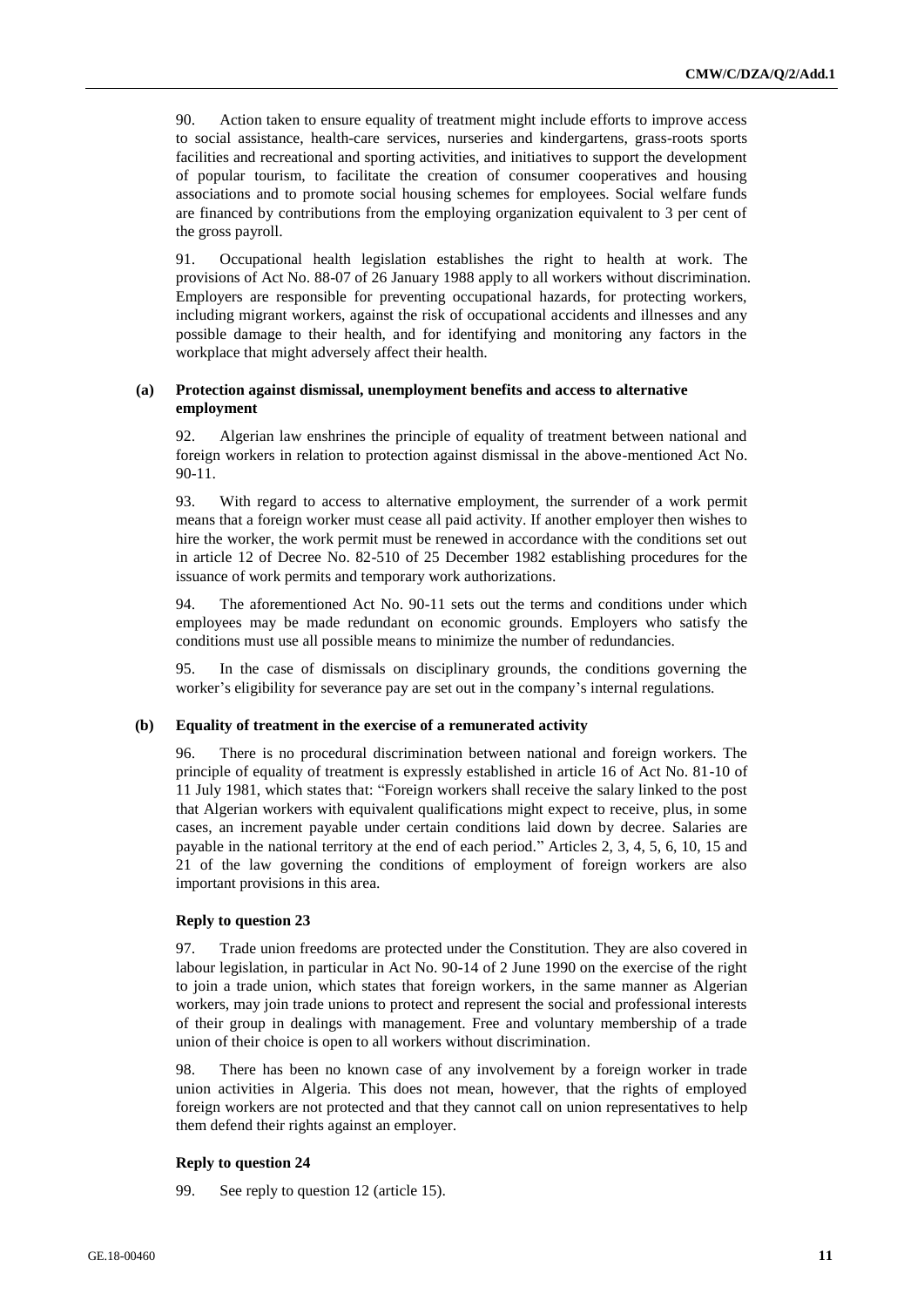90. Action taken to ensure equality of treatment might include efforts to improve access to social assistance, health-care services, nurseries and kindergartens, grass-roots sports facilities and recreational and sporting activities, and initiatives to support the development of popular tourism, to facilitate the creation of consumer cooperatives and housing associations and to promote social housing schemes for employees. Social welfare funds are financed by contributions from the employing organization equivalent to 3 per cent of the gross payroll.

91. Occupational health legislation establishes the right to health at work. The provisions of Act No. 88-07 of 26 January 1988 apply to all workers without discrimination. Employers are responsible for preventing occupational hazards, for protecting workers, including migrant workers, against the risk of occupational accidents and illnesses and any possible damage to their health, and for identifying and monitoring any factors in the workplace that might adversely affect their health.

#### **(a) Protection against dismissal, unemployment benefits and access to alternative employment**

92. Algerian law enshrines the principle of equality of treatment between national and foreign workers in relation to protection against dismissal in the above-mentioned Act No. 90-11.

93. With regard to access to alternative employment, the surrender of a work permit means that a foreign worker must cease all paid activity. If another employer then wishes to hire the worker, the work permit must be renewed in accordance with the conditions set out in article 12 of Decree No. 82-510 of 25 December 1982 establishing procedures for the issuance of work permits and temporary work authorizations.

94. The aforementioned Act No. 90-11 sets out the terms and conditions under which employees may be made redundant on economic grounds. Employers who satisfy the conditions must use all possible means to minimize the number of redundancies.

95. In the case of dismissals on disciplinary grounds, the conditions governing the worker's eligibility for severance pay are set out in the company's internal regulations.

#### **(b) Equality of treatment in the exercise of a remunerated activity**

96. There is no procedural discrimination between national and foreign workers. The principle of equality of treatment is expressly established in article 16 of Act No. 81-10 of 11 July 1981, which states that: "Foreign workers shall receive the salary linked to the post that Algerian workers with equivalent qualifications might expect to receive, plus, in some cases, an increment payable under certain conditions laid down by decree. Salaries are payable in the national territory at the end of each period." Articles 2, 3, 4, 5, 6, 10, 15 and 21 of the law governing the conditions of employment of foreign workers are also important provisions in this area.

#### **Reply to question 23**

97. Trade union freedoms are protected under the Constitution. They are also covered in labour legislation, in particular in Act No. 90-14 of 2 June 1990 on the exercise of the right to join a trade union, which states that foreign workers, in the same manner as Algerian workers, may join trade unions to protect and represent the social and professional interests of their group in dealings with management. Free and voluntary membership of a trade union of their choice is open to all workers without discrimination.

98. There has been no known case of any involvement by a foreign worker in trade union activities in Algeria. This does not mean, however, that the rights of employed foreign workers are not protected and that they cannot call on union representatives to help them defend their rights against an employer.

#### **Reply to question 24**

99. See reply to question 12 (article 15).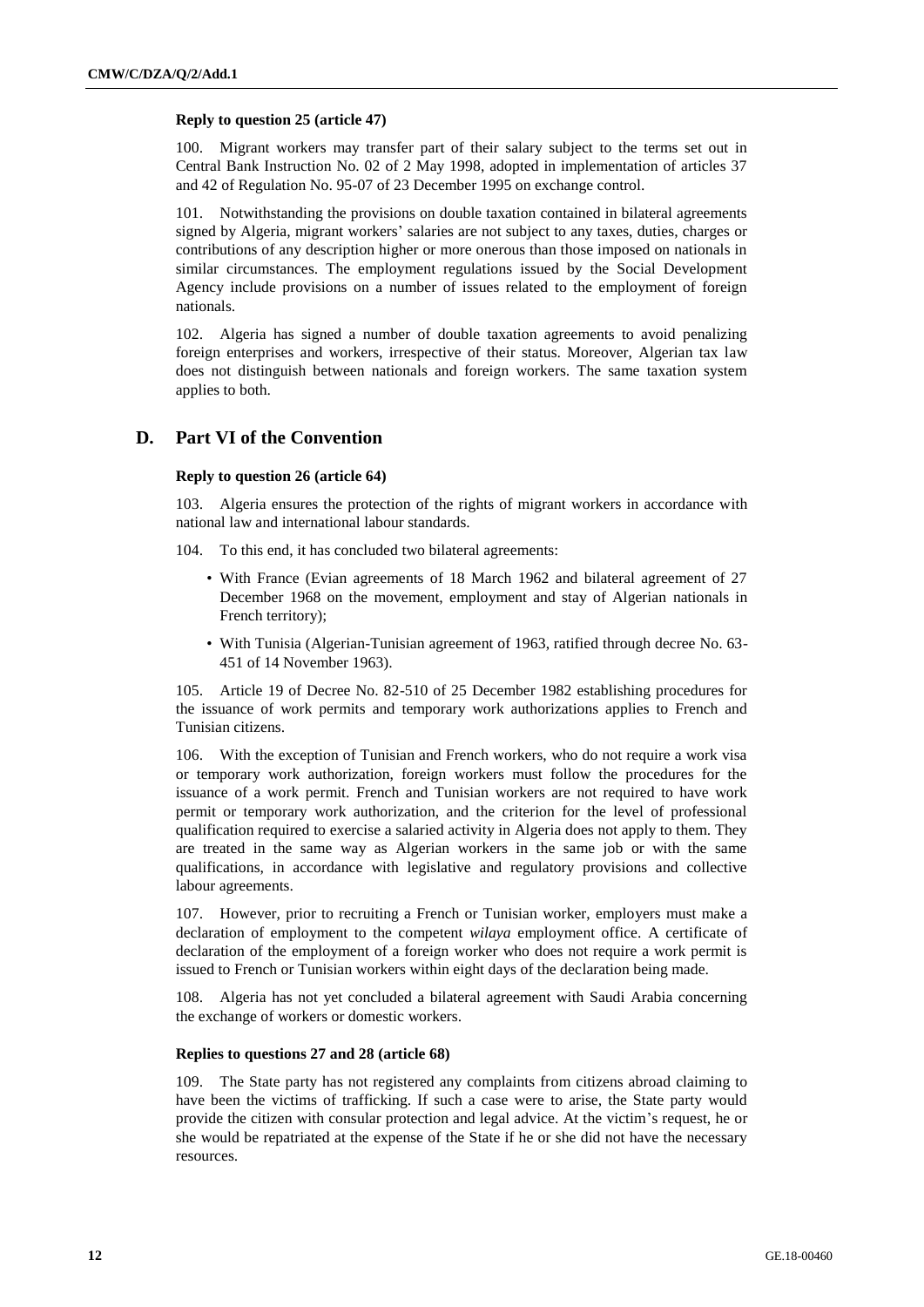#### **Reply to question 25 (article 47)**

100. Migrant workers may transfer part of their salary subject to the terms set out in Central Bank Instruction No. 02 of 2 May 1998, adopted in implementation of articles 37 and 42 of Regulation No. 95-07 of 23 December 1995 on exchange control.

101. Notwithstanding the provisions on double taxation contained in bilateral agreements signed by Algeria, migrant workers' salaries are not subject to any taxes, duties, charges or contributions of any description higher or more onerous than those imposed on nationals in similar circumstances. The employment regulations issued by the Social Development Agency include provisions on a number of issues related to the employment of foreign nationals.

102. Algeria has signed a number of double taxation agreements to avoid penalizing foreign enterprises and workers, irrespective of their status. Moreover, Algerian tax law does not distinguish between nationals and foreign workers. The same taxation system applies to both.

## **D. Part VI of the Convention**

#### **Reply to question 26 (article 64)**

103. Algeria ensures the protection of the rights of migrant workers in accordance with national law and international labour standards.

- 104. To this end, it has concluded two bilateral agreements:
	- With France (Evian agreements of 18 March 1962 and bilateral agreement of 27 December 1968 on the movement, employment and stay of Algerian nationals in French territory);
	- With Tunisia (Algerian-Tunisian agreement of 1963, ratified through decree No. 63- 451 of 14 November 1963).

105. Article 19 of Decree No. 82-510 of 25 December 1982 establishing procedures for the issuance of work permits and temporary work authorizations applies to French and Tunisian citizens.

106. With the exception of Tunisian and French workers, who do not require a work visa or temporary work authorization, foreign workers must follow the procedures for the issuance of a work permit. French and Tunisian workers are not required to have work permit or temporary work authorization, and the criterion for the level of professional qualification required to exercise a salaried activity in Algeria does not apply to them. They are treated in the same way as Algerian workers in the same job or with the same qualifications, in accordance with legislative and regulatory provisions and collective labour agreements.

107. However, prior to recruiting a French or Tunisian worker, employers must make a declaration of employment to the competent *wilaya* employment office. A certificate of declaration of the employment of a foreign worker who does not require a work permit is issued to French or Tunisian workers within eight days of the declaration being made.

108. Algeria has not yet concluded a bilateral agreement with Saudi Arabia concerning the exchange of workers or domestic workers.

#### **Replies to questions 27 and 28 (article 68)**

109. The State party has not registered any complaints from citizens abroad claiming to have been the victims of trafficking. If such a case were to arise, the State party would provide the citizen with consular protection and legal advice. At the victim's request, he or she would be repatriated at the expense of the State if he or she did not have the necessary resources.